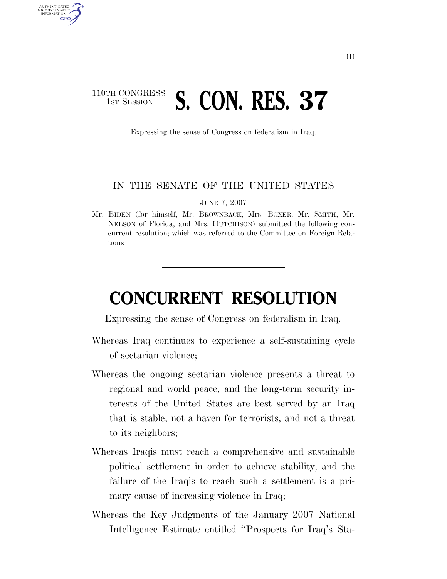## 110TH CONGRESS **1st Session 5. CON. RES. 37**

AUTHENTICATED U.S. GOVERNMENT **GPO** 

Expressing the sense of Congress on federalism in Iraq.

## IN THE SENATE OF THE UNITED STATES

JUNE 7, 2007

Mr. BIDEN (for himself, Mr. BROWNBACK, Mrs. BOXER, Mr. SMITH, Mr. NELSON of Florida, and Mrs. HUTCHISON) submitted the following concurrent resolution; which was referred to the Committee on Foreign Relations

## **CONCURRENT RESOLUTION**

Expressing the sense of Congress on federalism in Iraq.

- Whereas Iraq continues to experience a self-sustaining cycle of sectarian violence;
- Whereas the ongoing sectarian violence presents a threat to regional and world peace, and the long-term security interests of the United States are best served by an Iraq that is stable, not a haven for terrorists, and not a threat to its neighbors;
- Whereas Iraqis must reach a comprehensive and sustainable political settlement in order to achieve stability, and the failure of the Iraqis to reach such a settlement is a primary cause of increasing violence in Iraq;
- Whereas the Key Judgments of the January 2007 National Intelligence Estimate entitled ''Prospects for Iraq's Sta-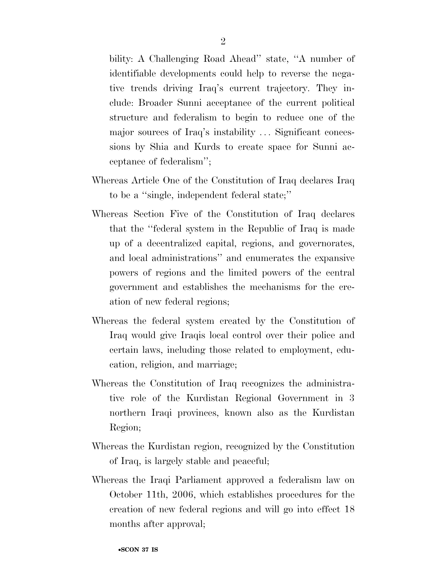bility: A Challenging Road Ahead'' state, ''A number of identifiable developments could help to reverse the negative trends driving Iraq's current trajectory. They include: Broader Sunni acceptance of the current political structure and federalism to begin to reduce one of the major sources of Iraq's instability ... Significant concessions by Shia and Kurds to create space for Sunni acceptance of federalism'';

- Whereas Article One of the Constitution of Iraq declares Iraq to be a ''single, independent federal state;''
- Whereas Section Five of the Constitution of Iraq declares that the ''federal system in the Republic of Iraq is made up of a decentralized capital, regions, and governorates, and local administrations'' and enumerates the expansive powers of regions and the limited powers of the central government and establishes the mechanisms for the creation of new federal regions;
- Whereas the federal system created by the Constitution of Iraq would give Iraqis local control over their police and certain laws, including those related to employment, education, religion, and marriage;
- Whereas the Constitution of Iraq recognizes the administrative role of the Kurdistan Regional Government in 3 northern Iraqi provinces, known also as the Kurdistan Region;
- Whereas the Kurdistan region, recognized by the Constitution of Iraq, is largely stable and peaceful;
- Whereas the Iraqi Parliament approved a federalism law on October 11th, 2006, which establishes procedures for the creation of new federal regions and will go into effect 18 months after approval;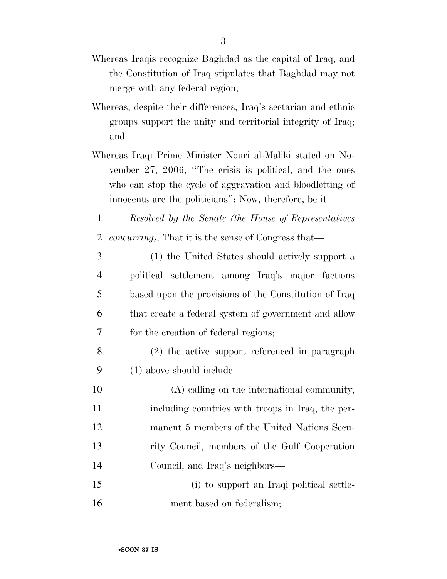- Whereas Iraqis recognize Baghdad as the capital of Iraq, and the Constitution of Iraq stipulates that Baghdad may not merge with any federal region;
- Whereas, despite their differences, Iraq's sectarian and ethnic groups support the unity and territorial integrity of Iraq; and
- Whereas Iraqi Prime Minister Nouri al-Maliki stated on November 27, 2006, ''The crisis is political, and the ones who can stop the cycle of aggravation and bloodletting of innocents are the politicians'': Now, therefore, be it
- *Resolved by the Senate (the House of Representatives concurring),* That it is the sense of Congress that—
- (1) the United States should actively support a political settlement among Iraq's major factions based upon the provisions of the Constitution of Iraq that create a federal system of government and allow for the creation of federal regions;
- (2) the active support referenced in paragraph (1) above should include—
- (A) calling on the international community, including countries with troops in Iraq, the per- manent 5 members of the United Nations Secu- rity Council, members of the Gulf Cooperation Council, and Iraq's neighbors—
- (i) to support an Iraqi political settle-ment based on federalism;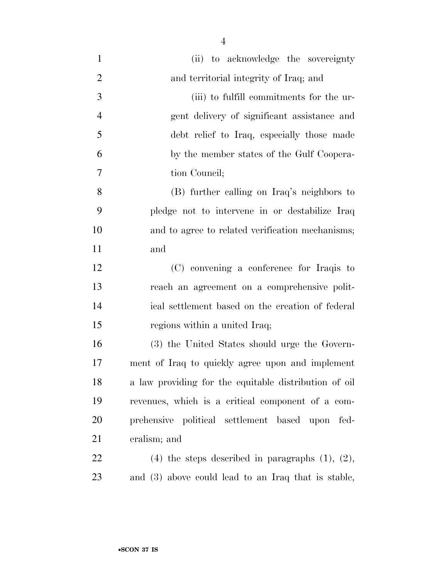|                | $\overline{4}$                                          |
|----------------|---------------------------------------------------------|
| $\mathbf{1}$   | (ii) to acknowledge the sovereignty                     |
| $\overline{2}$ | and territorial integrity of Iraq; and                  |
| 3              | (iii) to fulfill commitments for the ur-                |
| $\overline{4}$ | gent delivery of significant assistance and             |
| 5              | debt relief to Iraq, especially those made              |
| 6              | by the member states of the Gulf Coopera-               |
| $\overline{7}$ | tion Council;                                           |
| 8              | (B) further calling on Iraq's neighbors to              |
| 9              | pledge not to intervene in or destabilize Iraq          |
| 10             | and to agree to related verification mechanisms;        |
| 11             | and                                                     |
| 12             | (C) convening a conference for Iraqis to                |
| 13             | reach an agreement on a comprehensive polit-            |
| 14             | ical settlement based on the creation of federal        |
| 15             | regions within a united Iraq;                           |
| 16             | (3) the United States should urge the Govern-           |
| 17             | ment of Iraq to quickly agree upon and implement        |
| 18             | a law providing for the equitable distribution of oil   |
| 19             | revenues, which is a critical component of a com-       |
| 20             | prehensive political settlement based upon fed-         |
| 21             | eralism; and                                            |
| 22             | $(4)$ the steps described in paragraphs $(1)$ , $(2)$ , |
|                |                                                         |

and (3) above could lead to an Iraq that is stable,

•**SCON 37 IS**